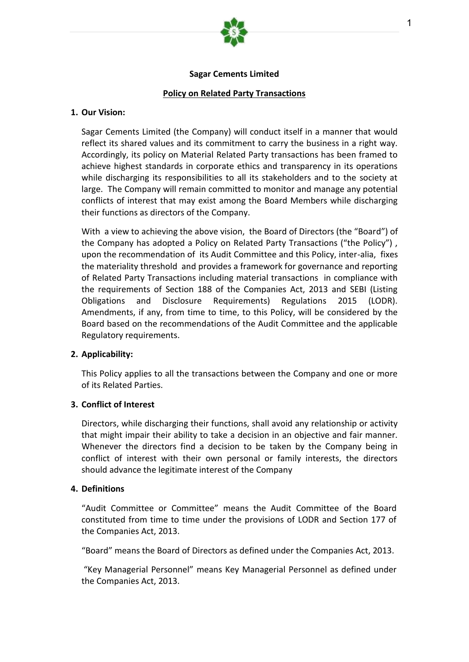

### **Sagar Cements Limited**

### **Policy on Related Party Transactions**

#### **1. Our Vision:**

Sagar Cements Limited (the Company) will conduct itself in a manner that would reflect its shared values and its commitment to carry the business in a right way. Accordingly, its policy on Material Related Party transactions has been framed to achieve highest standards in corporate ethics and transparency in its operations while discharging its responsibilities to all its stakeholders and to the society at large. The Company will remain committed to monitor and manage any potential conflicts of interest that may exist among the Board Members while discharging their functions as directors of the Company.

With a view to achieving the above vision, the Board of Directors (the "Board") of the Company has adopted a Policy on Related Party Transactions ("the Policy") , upon the recommendation of its Audit Committee and this Policy, inter-alia, fixes the materiality threshold and provides a framework for governance and reporting of Related Party Transactions including material transactions in compliance with the requirements of Section 188 of the Companies Act, 2013 and SEBI (Listing Obligations and Disclosure Requirements) Regulations 2015 (LODR). Amendments, if any, from time to time, to this Policy, will be considered by the Board based on the recommendations of the Audit Committee and the applicable Regulatory requirements.

#### **2. Applicability:**

This Policy applies to all the transactions between the Company and one or more of its Related Parties.

#### **3. Conflict of Interest**

Directors, while discharging their functions, shall avoid any relationship or activity that might impair their ability to take a decision in an objective and fair manner. Whenever the directors find a decision to be taken by the Company being in conflict of interest with their own personal or family interests, the directors should advance the legitimate interest of the Company

#### **4. Definitions**

"Audit Committee or Committee" means the Audit Committee of the Board constituted from time to time under the provisions of LODR and Section 177 of the Companies Act, 2013.

"Board" means the Board of Directors as defined under the Companies Act, 2013.

"Key Managerial Personnel" means Key Managerial Personnel as defined under the Companies Act, 2013.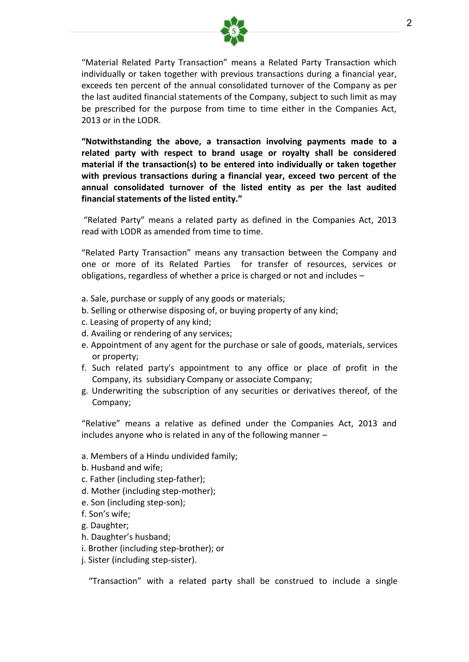

"Material Related Party Transaction" means a Related Party Transaction which individually or taken together with previous transactions during a financial year, exceeds ten percent of the annual consolidated turnover of the Company as per the last audited financial statements of the Company, subject to such limit as may be prescribed for the purpose from time to time either in the Companies Act, 2013 or in the LODR.

**"Notwithstanding the above, a transaction involving payments made to a related party with respect to brand usage or royalty shall be considered material if the transaction(s) to be entered into individually or taken together with previous transactions during a financial year, exceed two percent of the annual consolidated turnover of the listed entity as per the last audited financial statements of the listed entity."**

"Related Party" means a related party as defined in the Companies Act, 2013 read with LODR as amended from time to time.

"Related Party Transaction" means any transaction between the Company and one or more of its Related Parties for transfer of resources, services or obligations, regardless of whether a price is charged or not and includes –

- a. Sale, purchase or supply of any goods or materials;
- b. Selling or otherwise disposing of, or buying property of any kind;
- c. Leasing of property of any kind;
- d. Availing or rendering of any services;
- e. Appointment of any agent for the purchase or sale of goods, materials, services or property;
- f. Such related party's appointment to any office or place of profit in the Company, its subsidiary Company or associate Company;
- g. Underwriting the subscription of any securities or derivatives thereof, of the Company;

"Relative" means a relative as defined under the Companies Act, 2013 and includes anyone who is related in any of the following manner –

- a. Members of a Hindu undivided family;
- b. Husband and wife;
- c. Father (including step-father);
- d. Mother (including step-mother);
- e. Son (including step-son);
- f. Son's wife;
- g. Daughter;
- h. Daughter's husband;
- i. Brother (including step-brother); or
- j. Sister (including step-sister).

"Transaction" with a related party shall be construed to include a single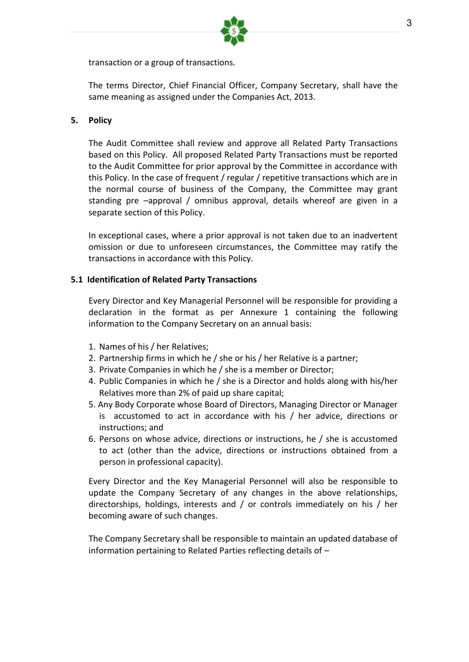

transaction or a group of transactions.

The terms Director, Chief Financial Officer, Company Secretary, shall have the same meaning as assigned under the Companies Act, 2013.

# **5. Policy**

The Audit Committee shall review and approve all Related Party Transactions based on this Policy. All proposed Related Party Transactions must be reported to the Audit Committee for prior approval by the Committee in accordance with this Policy. In the case of frequent / regular / repetitive transactions which are in the normal course of business of the Company, the Committee may grant standing pre –approval / omnibus approval, details whereof are given in a separate section of this Policy.

In exceptional cases, where a prior approval is not taken due to an inadvertent omission or due to unforeseen circumstances, the Committee may ratify the transactions in accordance with this Policy.

# **5.1 Identification of Related Party Transactions**

Every Director and Key Managerial Personnel will be responsible for providing a declaration in the format as per Annexure 1 containing the following information to the Company Secretary on an annual basis:

- 1. Names of his / her Relatives;
- 2. Partnership firms in which he / she or his / her Relative is a partner;
- 3. Private Companies in which he / she is a member or Director;
- 4. Public Companies in which he / she is a Director and holds along with his/her Relatives more than 2% of paid up share capital;
- 5. Any Body Corporate whose Board of Directors, Managing Director or Manager is accustomed to act in accordance with his / her advice, directions or instructions; and
- 6. Persons on whose advice, directions or instructions, he / she is accustomed to act (other than the advice, directions or instructions obtained from a person in professional capacity).

Every Director and the Key Managerial Personnel will also be responsible to update the Company Secretary of any changes in the above relationships, directorships, holdings, interests and / or controls immediately on his / her becoming aware of such changes.

The Company Secretary shall be responsible to maintain an updated database of information pertaining to Related Parties reflecting details of –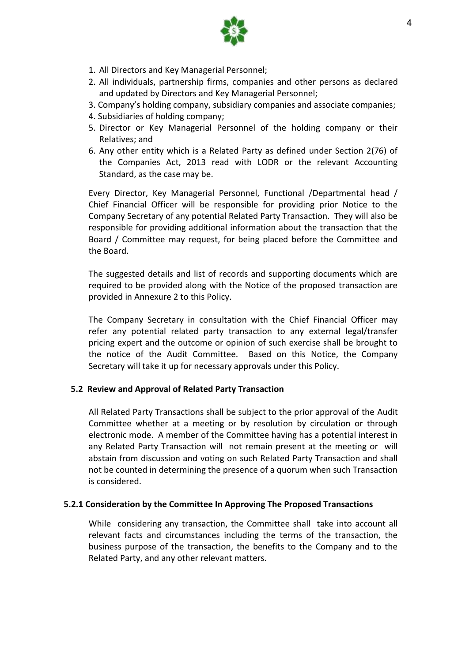- 1. All Directors and Key Managerial Personnel;
- 2. All individuals, partnership firms, companies and other persons as declared and updated by Directors and Key Managerial Personnel;
- 3. Company's holding company, subsidiary companies and associate companies;
- 4. Subsidiaries of holding company;
- 5. Director or Key Managerial Personnel of the holding company or their Relatives; and
- 6. Any other entity which is a Related Party as defined under Section 2(76) of the Companies Act, 2013 read with LODR or the relevant Accounting Standard, as the case may be.

Every Director, Key Managerial Personnel, Functional /Departmental head / Chief Financial Officer will be responsible for providing prior Notice to the Company Secretary of any potential Related Party Transaction. They will also be responsible for providing additional information about the transaction that the Board / Committee may request, for being placed before the Committee and the Board.

The suggested details and list of records and supporting documents which are required to be provided along with the Notice of the proposed transaction are provided in Annexure 2 to this Policy.

The Company Secretary in consultation with the Chief Financial Officer may refer any potential related party transaction to any external legal/transfer pricing expert and the outcome or opinion of such exercise shall be brought to the notice of the Audit Committee. Based on this Notice, the Company Secretary will take it up for necessary approvals under this Policy.

## **5.2 Review and Approval of Related Party Transaction**

All Related Party Transactions shall be subject to the prior approval of the Audit Committee whether at a meeting or by resolution by circulation or through electronic mode. A member of the Committee having has a potential interest in any Related Party Transaction will not remain present at the meeting or will abstain from discussion and voting on such Related Party Transaction and shall not be counted in determining the presence of a quorum when such Transaction is considered.

## **5.2.1 Consideration by the Committee In Approving The Proposed Transactions**

While considering any transaction, the Committee shall take into account all relevant facts and circumstances including the terms of the transaction, the business purpose of the transaction, the benefits to the Company and to the Related Party, and any other relevant matters.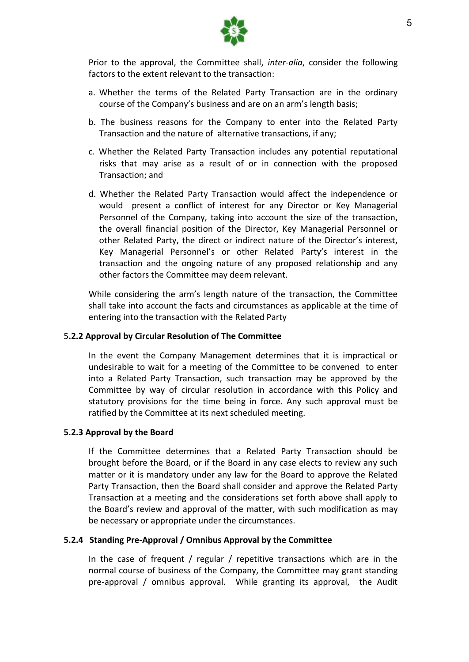

Prior to the approval, the Committee shall, *inter-alia*, consider the following factors to the extent relevant to the transaction:

- a. Whether the terms of the Related Party Transaction are in the ordinary course of the Company's business and are on an arm's length basis;
- b. The business reasons for the Company to enter into the Related Party Transaction and the nature of alternative transactions, if any;
- c. Whether the Related Party Transaction includes any potential reputational risks that may arise as a result of or in connection with the proposed Transaction; and
- d. Whether the Related Party Transaction would affect the independence or would present a conflict of interest for any Director or Key Managerial Personnel of the Company, taking into account the size of the transaction, the overall financial position of the Director, Key Managerial Personnel or other Related Party, the direct or indirect nature of the Director's interest, Key Managerial Personnel's or other Related Party's interest in the transaction and the ongoing nature of any proposed relationship and any other factors the Committee may deem relevant.

While considering the arm's length nature of the transaction, the Committee shall take into account the facts and circumstances as applicable at the time of entering into the transaction with the Related Party

## 5**.2.2 Approval by Circular Resolution of The Committee**

In the event the Company Management determines that it is impractical or undesirable to wait for a meeting of the Committee to be convened to enter into a Related Party Transaction, such transaction may be approved by the Committee by way of circular resolution in accordance with this Policy and statutory provisions for the time being in force. Any such approval must be ratified by the Committee at its next scheduled meeting.

## **5.2.3 Approval by the Board**

If the Committee determines that a Related Party Transaction should be brought before the Board, or if the Board in any case elects to review any such matter or it is mandatory under any law for the Board to approve the Related Party Transaction, then the Board shall consider and approve the Related Party Transaction at a meeting and the considerations set forth above shall apply to the Board's review and approval of the matter, with such modification as may be necessary or appropriate under the circumstances.

## **5.2.4 Standing Pre-Approval / Omnibus Approval by the Committee**

In the case of frequent / regular / repetitive transactions which are in the normal course of business of the Company, the Committee may grant standing pre-approval / omnibus approval. While granting its approval, the Audit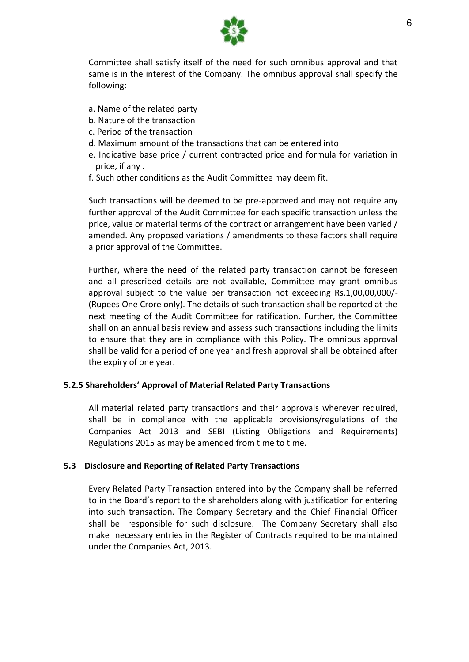

Committee shall satisfy itself of the need for such omnibus approval and that same is in the interest of the Company. The omnibus approval shall specify the following:

- a. Name of the related party
- b. Nature of the transaction
- c. Period of the transaction
- d. Maximum amount of the transactions that can be entered into
- e. Indicative base price / current contracted price and formula for variation in price, if any .
- f. Such other conditions as the Audit Committee may deem fit.

Such transactions will be deemed to be pre-approved and may not require any further approval of the Audit Committee for each specific transaction unless the price, value or material terms of the contract or arrangement have been varied / amended. Any proposed variations / amendments to these factors shall require a prior approval of the Committee.

Further, where the need of the related party transaction cannot be foreseen and all prescribed details are not available, Committee may grant omnibus approval subject to the value per transaction not exceeding Rs.1,00,00,000/- (Rupees One Crore only). The details of such transaction shall be reported at the next meeting of the Audit Committee for ratification. Further, the Committee shall on an annual basis review and assess such transactions including the limits to ensure that they are in compliance with this Policy. The omnibus approval shall be valid for a period of one year and fresh approval shall be obtained after the expiry of one year.

## **5.2.5 Shareholders' Approval of Material Related Party Transactions**

All material related party transactions and their approvals wherever required, shall be in compliance with the applicable provisions/regulations of the Companies Act 2013 and SEBI (Listing Obligations and Requirements) Regulations 2015 as may be amended from time to time.

# **5.3 Disclosure and Reporting of Related Party Transactions**

Every Related Party Transaction entered into by the Company shall be referred to in the Board's report to the shareholders along with justification for entering into such transaction. The Company Secretary and the Chief Financial Officer shall be responsible for such disclosure. The Company Secretary shall also make necessary entries in the Register of Contracts required to be maintained under the Companies Act, 2013.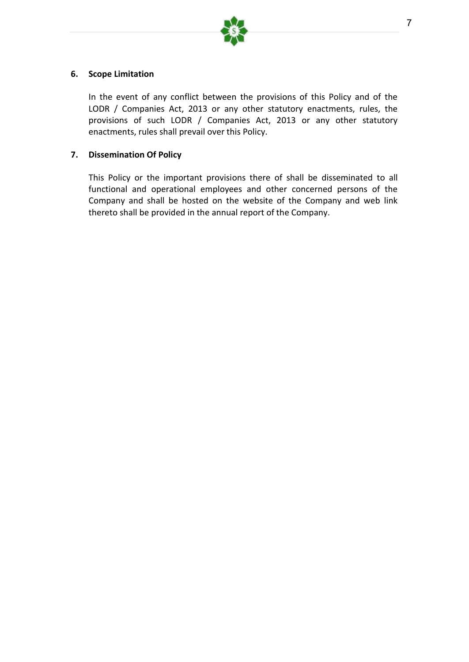

# **6. Scope Limitation**

In the event of any conflict between the provisions of this Policy and of the LODR / Companies Act, 2013 or any other statutory enactments, rules, the provisions of such LODR / Companies Act, 2013 or any other statutory enactments, rules shall prevail over this Policy.

# **7. Dissemination Of Policy**

This Policy or the important provisions there of shall be disseminated to all functional and operational employees and other concerned persons of the Company and shall be hosted on the website of the Company and web link thereto shall be provided in the annual report of the Company.